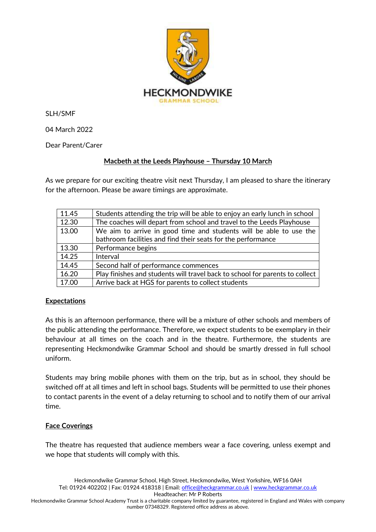

SLH/SMF

04 March 2022

Dear Parent/Carer

## **Macbeth at the Leeds Playhouse – Thursday 10 March**

As we prepare for our exciting theatre visit next Thursday, I am pleased to share the itinerary for the afternoon. Please be aware timings are approximate.

| 11.45 | Students attending the trip will be able to enjoy an early lunch in school   |
|-------|------------------------------------------------------------------------------|
| 12.30 | The coaches will depart from school and travel to the Leeds Playhouse        |
| 13.00 | We aim to arrive in good time and students will be able to use the           |
|       | bathroom facilities and find their seats for the performance                 |
| 13.30 | Performance begins                                                           |
| 14.25 | Interval                                                                     |
| 14.45 | Second half of performance commences                                         |
| 16.20 | Play finishes and students will travel back to school for parents to collect |
| 17.00 | Arrive back at HGS for parents to collect students                           |

## **Expectations**

As this is an afternoon performance, there will be a mixture of other schools and members of the public attending the performance. Therefore, we expect students to be exemplary in their behaviour at all times on the coach and in the theatre. Furthermore, the students are representing Heckmondwike Grammar School and should be smartly dressed in full school uniform.

Students may bring mobile phones with them on the trip, but as in school, they should be switched off at all times and left in school bags. Students will be permitted to use their phones to contact parents in the event of a delay returning to school and to notify them of our arrival time.

## **Face Coverings**

The theatre has requested that audience members wear a face covering, unless exempt and we hope that students will comply with this.

Heckmondwike Grammar School Academy Trust is a charitable company limited by guarantee, registered in England and Wales with company number 07348329. Registered office address as above.